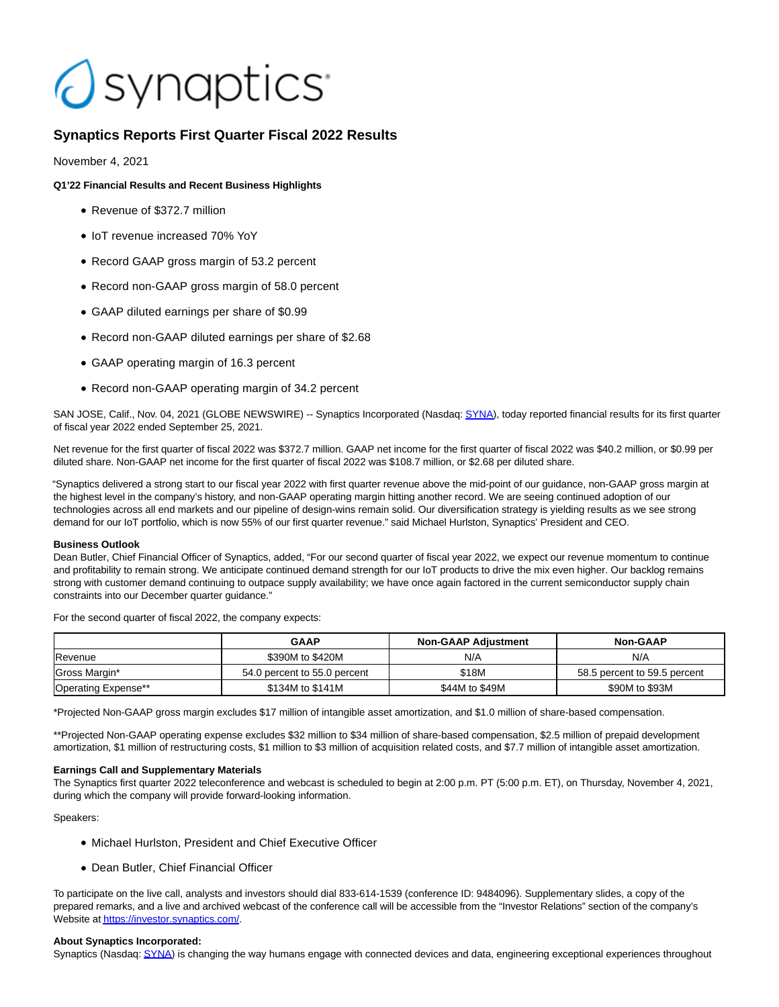# Osynaptics<sup>®</sup>

# **Synaptics Reports First Quarter Fiscal 2022 Results**

November 4, 2021

# **Q1'22 Financial Results and Recent Business Highlights**

- Revenue of \$372.7 million
- IoT revenue increased 70% YoY
- Record GAAP gross margin of 53.2 percent
- Record non-GAAP gross margin of 58.0 percent
- GAAP diluted earnings per share of \$0.99
- Record non-GAAP diluted earnings per share of \$2.68
- GAAP operating margin of 16.3 percent
- Record non-GAAP operating margin of 34.2 percent

SAN JOSE, Calif., Nov. 04, 2021 (GLOBE NEWSWIRE) -- Synaptics Incorporated (Nasdaq[: SYNA\),](https://www.globenewswire.com/Tracker?data=Xaqj6klE26QZIh2J0oTTWvZG8XfubhZwDHdvVn_I7sjz3GE3NxhyUO3FNzIfl3RcTtCIIJsP6VUiFKrXfUBfcQ==) today reported financial results for its first quarter of fiscal year 2022 ended September 25, 2021.

Net revenue for the first quarter of fiscal 2022 was \$372.7 million. GAAP net income for the first quarter of fiscal 2022 was \$40.2 million, or \$0.99 per diluted share. Non-GAAP net income for the first quarter of fiscal 2022 was \$108.7 million, or \$2.68 per diluted share.

"Synaptics delivered a strong start to our fiscal year 2022 with first quarter revenue above the mid-point of our guidance, non-GAAP gross margin at the highest level in the company's history, and non-GAAP operating margin hitting another record. We are seeing continued adoption of our technologies across all end markets and our pipeline of design-wins remain solid. Our diversification strategy is yielding results as we see strong demand for our IoT portfolio, which is now 55% of our first quarter revenue." said Michael Hurlston, Synaptics' President and CEO.

## **Business Outlook**

Dean Butler, Chief Financial Officer of Synaptics, added, "For our second quarter of fiscal year 2022, we expect our revenue momentum to continue and profitability to remain strong. We anticipate continued demand strength for our IoT products to drive the mix even higher. Our backlog remains strong with customer demand continuing to outpace supply availability; we have once again factored in the current semiconductor supply chain constraints into our December quarter guidance."

For the second quarter of fiscal 2022, the company expects:

|                     | <b>GAAP</b>                  | <b>Non-GAAP Adiustment</b> | <b>Non-GAAP</b>              |
|---------------------|------------------------------|----------------------------|------------------------------|
| Revenue             | \$390M to \$420M             | N/A                        | N/A                          |
| Gross Margin*       | 54.0 percent to 55.0 percent | \$18M                      | 58.5 percent to 59.5 percent |
| Operating Expense** | \$134M to \$141M             | \$44M to \$49M             | \$90M to \$93M               |

\*Projected Non-GAAP gross margin excludes \$17 million of intangible asset amortization, and \$1.0 million of share-based compensation.

\*\*Projected Non-GAAP operating expense excludes \$32 million to \$34 million of share-based compensation, \$2.5 million of prepaid development amortization, \$1 million of restructuring costs, \$1 million to \$3 million of acquisition related costs, and \$7.7 million of intangible asset amortization.

## **Earnings Call and Supplementary Materials**

The Synaptics first quarter 2022 teleconference and webcast is scheduled to begin at 2:00 p.m. PT (5:00 p.m. ET), on Thursday, November 4, 2021, during which the company will provide forward-looking information.

Speakers:

- Michael Hurlston, President and Chief Executive Officer
- Dean Butler, Chief Financial Officer

To participate on the live call, analysts and investors should dial 833-614-1539 (conference ID: 9484096). Supplementary slides, a copy of the prepared remarks, and a live and archived webcast of the conference call will be accessible from the "Investor Relations" section of the company's Website a[t https://investor.synaptics.com/.](https://www.globenewswire.com/Tracker?data=2paVUlBoXidC5V4zreQvaHNazu8fb1bbAZwUGF1Hs4npU918pyWzCBhGunlr7mwJf-YbAJSKwnPTmlKzjg9R8mhaHfwhJb7GsOAr4TAfRtEGLnZ_f4E11ys8973DEN1E)

## **About Synaptics Incorporated:**

Synaptics (Nasdaq[: SYNA\)](https://www.globenewswire.com/Tracker?data=A-e2nBWlo8wiqzbrj58Me6MSxt_c9RqLu8jqFtx_M4TXuq5fFg_2yqlmEf5Q3LTtNSZxwdXJJKn2t7zSCkO5Qw==) is changing the way humans engage with connected devices and data, engineering exceptional experiences throughout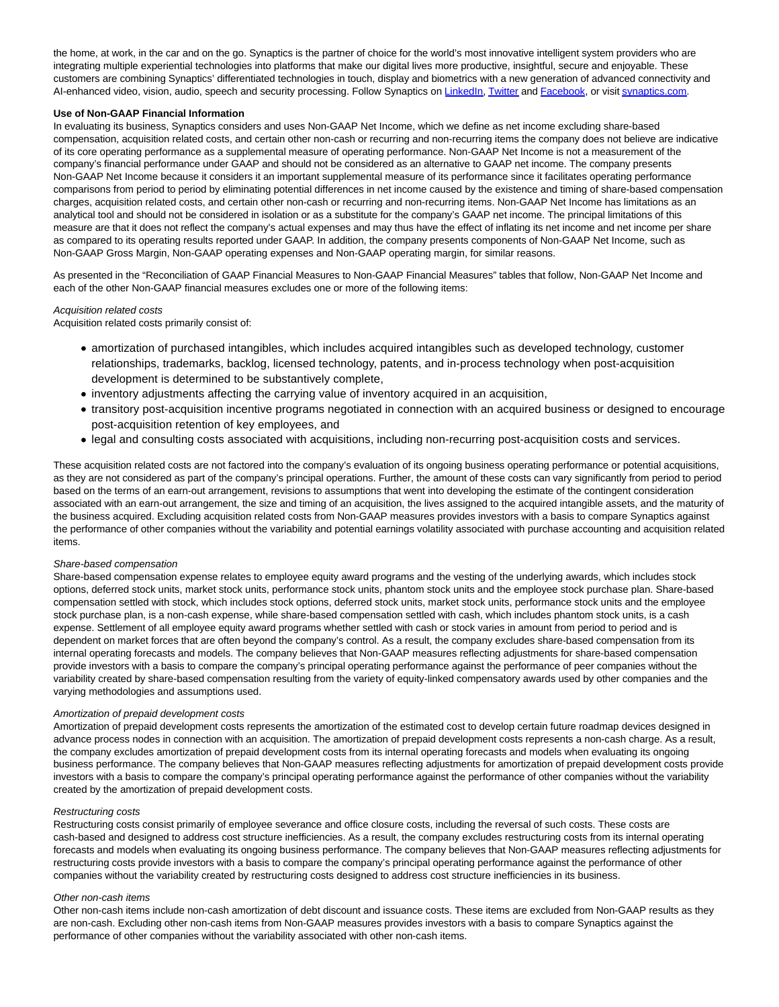the home, at work, in the car and on the go. Synaptics is the partner of choice for the world's most innovative intelligent system providers who are integrating multiple experiential technologies into platforms that make our digital lives more productive, insightful, secure and enjoyable. These customers are combining Synaptics' differentiated technologies in touch, display and biometrics with a new generation of advanced connectivity and AI-enhanced video, vision, audio, speech and security processing. Follow Synaptics on [LinkedIn,](https://www.globenewswire.com/Tracker?data=y0efrFT9g7l3TiP1bt6kKq0AdHmhk-v7lg9SRE9J3NInPbZo9KI2UVLEJMAo65kqacKia2ONKvZqiIcsBGLffmYLUqypmLr7ZjK7hRmNnvA=) [Twitter a](https://www.globenewswire.com/Tracker?data=e4lhiFNejua0ncupDLaSn5Jhc-1VyKUA-DaAEy0NcNQChvL5nB2UT5fqbnSXxfGjQUFK8IdsHUj7DEosc9fp9g==)nd [Facebook,](https://www.globenewswire.com/Tracker?data=QQKqcNx8P2MU-105_hBm7JWK2AdhSBcqf7gETJEZLq4YU1Q-2LTQaY_tTPPng2MCqoCw6F2-3WKXXgo7XSZd54W3yp3lHGFZ8ToWYy_wxKk=) or visi[t synaptics.com.](https://www.globenewswire.com/Tracker?data=WYDR5PbYmJELH5CKhLsTp5JtTdhJZT0AmuoiArbEM7jKZYDZVwnjV0J3l6jaCPomoV-RIfMsKEuwxm0P29CGpA==)

#### **Use of Non-GAAP Financial Information**

In evaluating its business, Synaptics considers and uses Non-GAAP Net Income, which we define as net income excluding share-based compensation, acquisition related costs, and certain other non-cash or recurring and non-recurring items the company does not believe are indicative of its core operating performance as a supplemental measure of operating performance. Non-GAAP Net Income is not a measurement of the company's financial performance under GAAP and should not be considered as an alternative to GAAP net income. The company presents Non-GAAP Net Income because it considers it an important supplemental measure of its performance since it facilitates operating performance comparisons from period to period by eliminating potential differences in net income caused by the existence and timing of share-based compensation charges, acquisition related costs, and certain other non-cash or recurring and non-recurring items. Non-GAAP Net Income has limitations as an analytical tool and should not be considered in isolation or as a substitute for the company's GAAP net income. The principal limitations of this measure are that it does not reflect the company's actual expenses and may thus have the effect of inflating its net income and net income per share as compared to its operating results reported under GAAP. In addition, the company presents components of Non-GAAP Net Income, such as Non-GAAP Gross Margin, Non-GAAP operating expenses and Non-GAAP operating margin, for similar reasons.

As presented in the "Reconciliation of GAAP Financial Measures to Non-GAAP Financial Measures" tables that follow, Non-GAAP Net Income and each of the other Non-GAAP financial measures excludes one or more of the following items:

#### Acquisition related costs

Acquisition related costs primarily consist of:

- amortization of purchased intangibles, which includes acquired intangibles such as developed technology, customer relationships, trademarks, backlog, licensed technology, patents, and in-process technology when post-acquisition development is determined to be substantively complete,
- inventory adjustments affecting the carrying value of inventory acquired in an acquisition,
- transitory post-acquisition incentive programs negotiated in connection with an acquired business or designed to encourage post-acquisition retention of key employees, and
- legal and consulting costs associated with acquisitions, including non-recurring post-acquisition costs and services.

These acquisition related costs are not factored into the company's evaluation of its ongoing business operating performance or potential acquisitions, as they are not considered as part of the company's principal operations. Further, the amount of these costs can vary significantly from period to period based on the terms of an earn-out arrangement, revisions to assumptions that went into developing the estimate of the contingent consideration associated with an earn-out arrangement, the size and timing of an acquisition, the lives assigned to the acquired intangible assets, and the maturity of the business acquired. Excluding acquisition related costs from Non-GAAP measures provides investors with a basis to compare Synaptics against the performance of other companies without the variability and potential earnings volatility associated with purchase accounting and acquisition related items.

#### Share-based compensation

Share-based compensation expense relates to employee equity award programs and the vesting of the underlying awards, which includes stock options, deferred stock units, market stock units, performance stock units, phantom stock units and the employee stock purchase plan. Share-based compensation settled with stock, which includes stock options, deferred stock units, market stock units, performance stock units and the employee stock purchase plan, is a non-cash expense, while share-based compensation settled with cash, which includes phantom stock units, is a cash expense. Settlement of all employee equity award programs whether settled with cash or stock varies in amount from period to period and is dependent on market forces that are often beyond the company's control. As a result, the company excludes share-based compensation from its internal operating forecasts and models. The company believes that Non-GAAP measures reflecting adjustments for share-based compensation provide investors with a basis to compare the company's principal operating performance against the performance of peer companies without the variability created by share-based compensation resulting from the variety of equity-linked compensatory awards used by other companies and the varying methodologies and assumptions used.

#### Amortization of prepaid development costs

Amortization of prepaid development costs represents the amortization of the estimated cost to develop certain future roadmap devices designed in advance process nodes in connection with an acquisition. The amortization of prepaid development costs represents a non-cash charge. As a result, the company excludes amortization of prepaid development costs from its internal operating forecasts and models when evaluating its ongoing business performance. The company believes that Non-GAAP measures reflecting adjustments for amortization of prepaid development costs provide investors with a basis to compare the company's principal operating performance against the performance of other companies without the variability created by the amortization of prepaid development costs.

#### Restructuring costs

Restructuring costs consist primarily of employee severance and office closure costs, including the reversal of such costs. These costs are cash-based and designed to address cost structure inefficiencies. As a result, the company excludes restructuring costs from its internal operating forecasts and models when evaluating its ongoing business performance. The company believes that Non-GAAP measures reflecting adjustments for restructuring costs provide investors with a basis to compare the company's principal operating performance against the performance of other companies without the variability created by restructuring costs designed to address cost structure inefficiencies in its business.

#### Other non-cash items

Other non-cash items include non-cash amortization of debt discount and issuance costs. These items are excluded from Non-GAAP results as they are non-cash. Excluding other non-cash items from Non-GAAP measures provides investors with a basis to compare Synaptics against the performance of other companies without the variability associated with other non-cash items.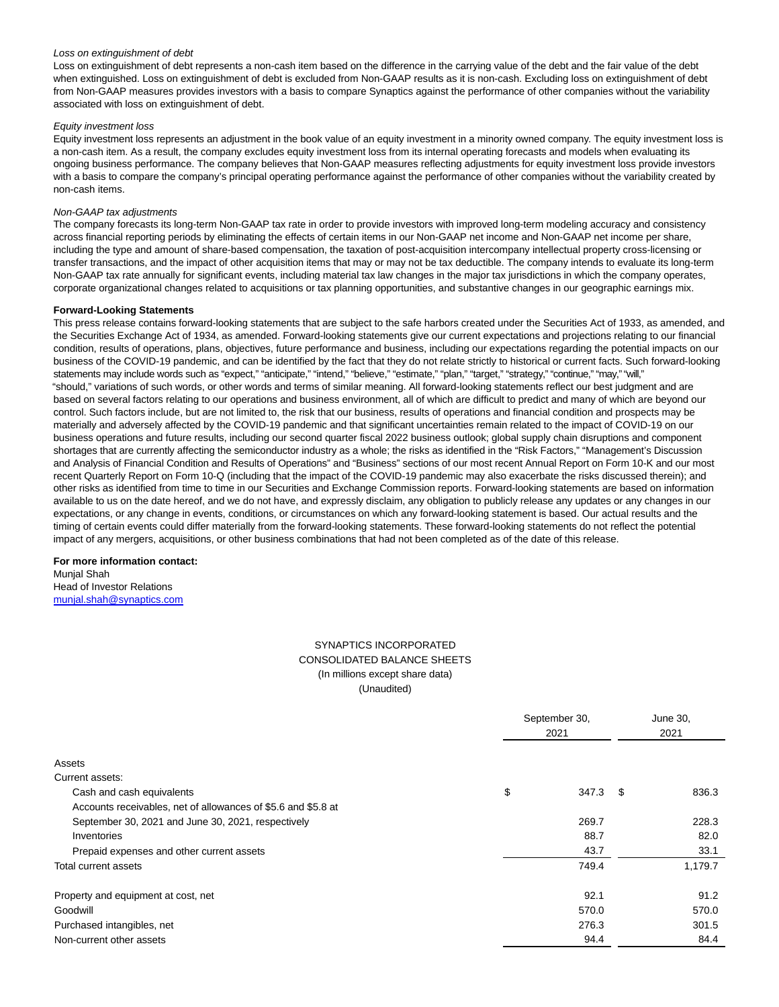#### Loss on extinguishment of debt

Loss on extinguishment of debt represents a non-cash item based on the difference in the carrying value of the debt and the fair value of the debt when extinguished. Loss on extinguishment of debt is excluded from Non-GAAP results as it is non-cash. Excluding loss on extinguishment of debt from Non-GAAP measures provides investors with a basis to compare Synaptics against the performance of other companies without the variability associated with loss on extinguishment of debt.

#### Equity investment loss

Equity investment loss represents an adjustment in the book value of an equity investment in a minority owned company. The equity investment loss is a non-cash item. As a result, the company excludes equity investment loss from its internal operating forecasts and models when evaluating its ongoing business performance. The company believes that Non-GAAP measures reflecting adjustments for equity investment loss provide investors with a basis to compare the company's principal operating performance against the performance of other companies without the variability created by non-cash items.

#### Non-GAAP tax adjustments

The company forecasts its long-term Non-GAAP tax rate in order to provide investors with improved long-term modeling accuracy and consistency across financial reporting periods by eliminating the effects of certain items in our Non-GAAP net income and Non-GAAP net income per share, including the type and amount of share-based compensation, the taxation of post-acquisition intercompany intellectual property cross-licensing or transfer transactions, and the impact of other acquisition items that may or may not be tax deductible. The company intends to evaluate its long-term Non-GAAP tax rate annually for significant events, including material tax law changes in the major tax jurisdictions in which the company operates, corporate organizational changes related to acquisitions or tax planning opportunities, and substantive changes in our geographic earnings mix.

#### **Forward-Looking Statements**

This press release contains forward-looking statements that are subject to the safe harbors created under the Securities Act of 1933, as amended, and the Securities Exchange Act of 1934, as amended. Forward-looking statements give our current expectations and projections relating to our financial condition, results of operations, plans, objectives, future performance and business, including our expectations regarding the potential impacts on our business of the COVID-19 pandemic, and can be identified by the fact that they do not relate strictly to historical or current facts. Such forward-looking statements may include words such as "expect," "anticipate," "intend," "believe," "estimate," "plan," "target," "strategy," "continue," "may," "will," "should," variations of such words, or other words and terms of similar meaning. All forward-looking statements reflect our best judgment and are based on several factors relating to our operations and business environment, all of which are difficult to predict and many of which are beyond our control. Such factors include, but are not limited to, the risk that our business, results of operations and financial condition and prospects may be materially and adversely affected by the COVID-19 pandemic and that significant uncertainties remain related to the impact of COVID-19 on our business operations and future results, including our second quarter fiscal 2022 business outlook; global supply chain disruptions and component shortages that are currently affecting the semiconductor industry as a whole; the risks as identified in the "Risk Factors," "Management's Discussion and Analysis of Financial Condition and Results of Operations" and "Business" sections of our most recent Annual Report on Form 10-K and our most recent Quarterly Report on Form 10-Q (including that the impact of the COVID-19 pandemic may also exacerbate the risks discussed therein); and other risks as identified from time to time in our Securities and Exchange Commission reports. Forward-looking statements are based on information available to us on the date hereof, and we do not have, and expressly disclaim, any obligation to publicly release any updates or any changes in our expectations, or any change in events, conditions, or circumstances on which any forward-looking statement is based. Our actual results and the timing of certain events could differ materially from the forward-looking statements. These forward-looking statements do not reflect the potential impact of any mergers, acquisitions, or other business combinations that had not been completed as of the date of this release.

# **For more information contact:**

Munjal Shah Head of Investor Relations [munjal.shah@synaptics.com](https://www.globenewswire.com/Tracker?data=v5XbUxyvu3yEtaqQtSN9E1WU9aP8aODQHNrEceZ_8ndGg-5Uheid8A6hM6Bh6mAOK_cnm-Ah-2STHWvOmbqoinMAtNBBGWplgzZeH2tIuxg=)

# SYNAPTICS INCORPORATED CONSOLIDATED BALANCE SHEETS (In millions except share data) (Unaudited)

|                                                               | September 30, |       | June 30,<br>2021 |         |
|---------------------------------------------------------------|---------------|-------|------------------|---------|
| Assets                                                        |               |       |                  |         |
| Current assets:                                               |               |       |                  |         |
| Cash and cash equivalents                                     | \$            | 347.3 | S                | 836.3   |
| Accounts receivables, net of allowances of \$5.6 and \$5.8 at |               |       |                  |         |
| September 30, 2021 and June 30, 2021, respectively            |               | 269.7 |                  | 228.3   |
| Inventories                                                   |               | 88.7  |                  | 82.0    |
| Prepaid expenses and other current assets                     |               | 43.7  |                  | 33.1    |
| Total current assets                                          |               | 749.4 |                  | 1,179.7 |
| Property and equipment at cost, net                           |               | 92.1  |                  | 91.2    |
| Goodwill                                                      |               | 570.0 |                  | 570.0   |
| Purchased intangibles, net                                    |               | 276.3 |                  | 301.5   |
| Non-current other assets                                      |               | 94.4  |                  | 84.4    |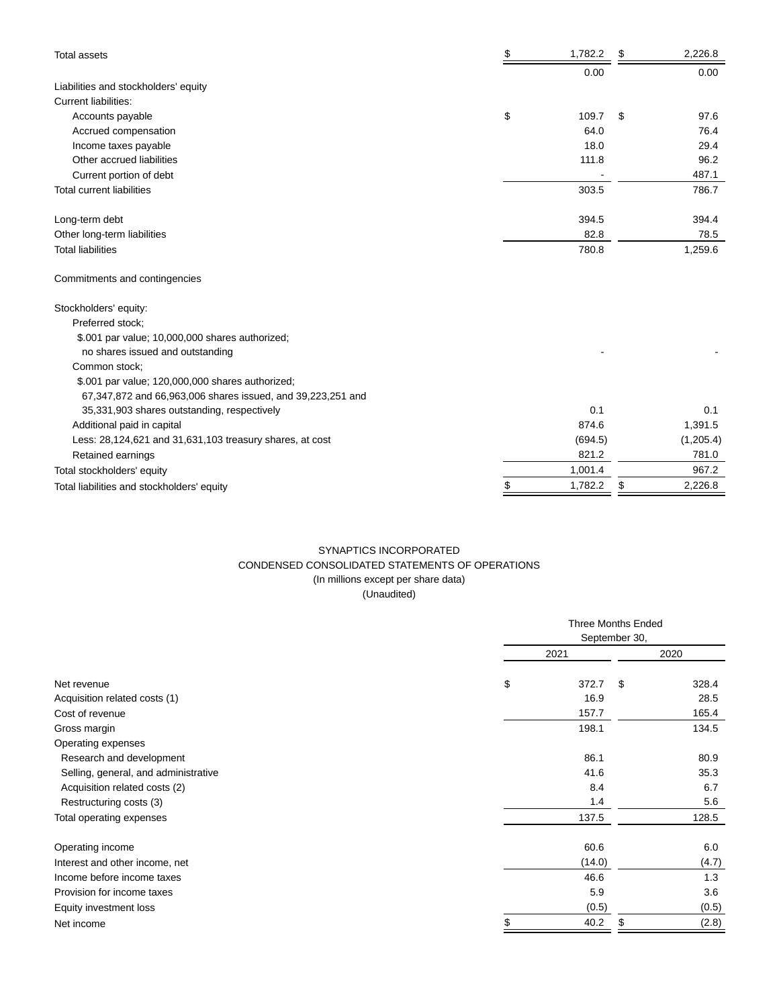| Total assets                                                | \$<br>1,782.2 | \$<br>2,226.8 |
|-------------------------------------------------------------|---------------|---------------|
|                                                             | 0.00          | 0.00          |
| Liabilities and stockholders' equity                        |               |               |
| <b>Current liabilities:</b>                                 |               |               |
| Accounts payable                                            | \$<br>109.7   | \$<br>97.6    |
| Accrued compensation                                        | 64.0          | 76.4          |
| Income taxes payable                                        | 18.0          | 29.4          |
| Other accrued liabilities                                   | 111.8         | 96.2          |
| Current portion of debt                                     |               | 487.1         |
| <b>Total current liabilities</b>                            | 303.5         | 786.7         |
| Long-term debt                                              | 394.5         | 394.4         |
| Other long-term liabilities                                 | 82.8          | 78.5          |
| <b>Total liabilities</b>                                    | 780.8         | 1,259.6       |
| Commitments and contingencies                               |               |               |
| Stockholders' equity:                                       |               |               |
| Preferred stock;                                            |               |               |
| \$.001 par value; 10,000,000 shares authorized;             |               |               |
| no shares issued and outstanding                            |               |               |
| Common stock:                                               |               |               |
| \$.001 par value; 120,000,000 shares authorized;            |               |               |
| 67,347,872 and 66,963,006 shares issued, and 39,223,251 and |               |               |
| 35,331,903 shares outstanding, respectively                 | 0.1           | 0.1           |
| Additional paid in capital                                  | 874.6         | 1,391.5       |
| Less: 28,124,621 and 31,631,103 treasury shares, at cost    | (694.5)       | (1,205.4)     |
| Retained earnings                                           | 821.2         | 781.0         |
| Total stockholders' equity                                  | 1,001.4       | 967.2         |
| Total liabilities and stockholders' equity                  | \$<br>1,782.2 | \$<br>2,226.8 |

# SYNAPTICS INCORPORATED CONDENSED CONSOLIDATED STATEMENTS OF OPERATIONS (In millions except per share data)

(Unaudited)

|                                      | <b>Three Months Ended</b> |               |       |  |
|--------------------------------------|---------------------------|---------------|-------|--|
|                                      |                           | September 30, |       |  |
|                                      | 2021                      |               | 2020  |  |
| Net revenue                          | \$<br>372.7               | \$            | 328.4 |  |
| Acquisition related costs (1)        | 16.9                      |               | 28.5  |  |
| Cost of revenue                      | 157.7                     |               | 165.4 |  |
| Gross margin                         | 198.1                     |               | 134.5 |  |
| Operating expenses                   |                           |               |       |  |
| Research and development             | 86.1                      |               | 80.9  |  |
| Selling, general, and administrative | 41.6                      |               | 35.3  |  |
| Acquisition related costs (2)        | 8.4                       |               | 6.7   |  |
| Restructuring costs (3)              | 1.4                       |               | 5.6   |  |
| Total operating expenses             | 137.5                     |               | 128.5 |  |
| Operating income                     | 60.6                      |               | 6.0   |  |
| Interest and other income, net       | (14.0)                    |               | (4.7) |  |
| Income before income taxes           | 46.6                      |               | 1.3   |  |
| Provision for income taxes           | 5.9                       |               | 3.6   |  |
| Equity investment loss               | (0.5)                     |               | (0.5) |  |
| Net income                           | \$<br>40.2                | \$            | (2.8) |  |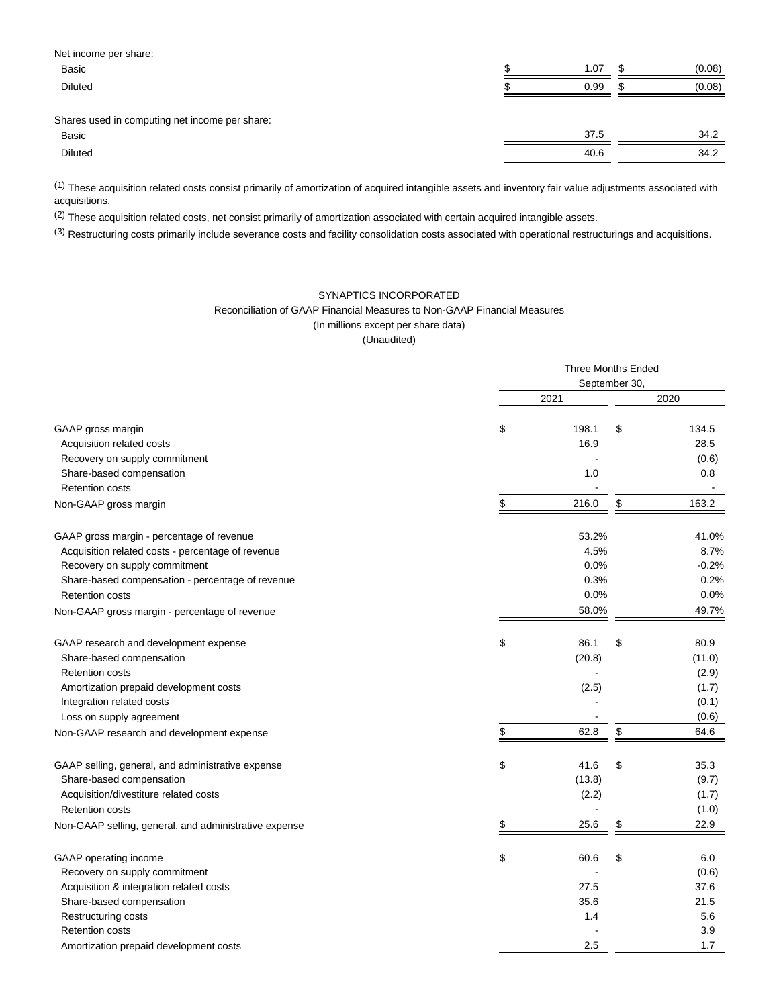| Net income per share:                          |    |      |        |
|------------------------------------------------|----|------|--------|
| <b>Basic</b>                                   | ۰D | 1.07 | (0.08) |
| <b>Diluted</b>                                 | ъĐ | 0.99 | (0.08) |
|                                                |    |      |        |
| Shares used in computing net income per share: |    |      |        |
| <b>Basic</b>                                   |    | 37.5 | 34.2   |

Diluted 40.6 34.2

(1) These acquisition related costs consist primarily of amortization of acquired intangible assets and inventory fair value adjustments associated with acquisitions.

 $(2)$  These acquisition related costs, net consist primarily of amortization associated with certain acquired intangible assets.

(3) Restructuring costs primarily include severance costs and facility consolidation costs associated with operational restructurings and acquisitions.

# SYNAPTICS INCORPORATED Reconciliation of GAAP Financial Measures to Non-GAAP Financial Measures (In millions except per share data)

(Unaudited)

|                                                       | <b>Three Months Ended</b> |                          |    |         |  |
|-------------------------------------------------------|---------------------------|--------------------------|----|---------|--|
|                                                       |                           | September 30,            |    |         |  |
|                                                       |                           | 2021                     |    | 2020    |  |
| GAAP gross margin                                     | \$                        | 198.1                    | \$ | 134.5   |  |
| Acquisition related costs                             |                           | 16.9                     |    | 28.5    |  |
| Recovery on supply commitment                         |                           |                          |    | (0.6)   |  |
| Share-based compensation                              |                           | 1.0                      |    | 0.8     |  |
| <b>Retention costs</b>                                |                           |                          |    |         |  |
| Non-GAAP gross margin                                 | \$                        | 216.0                    | \$ | 163.2   |  |
| GAAP gross margin - percentage of revenue             |                           | 53.2%                    |    | 41.0%   |  |
| Acquisition related costs - percentage of revenue     |                           | 4.5%                     |    | 8.7%    |  |
| Recovery on supply commitment                         |                           | 0.0%                     |    | $-0.2%$ |  |
| Share-based compensation - percentage of revenue      |                           | 0.3%                     |    | 0.2%    |  |
| <b>Retention costs</b>                                |                           | 0.0%                     |    | 0.0%    |  |
| Non-GAAP gross margin - percentage of revenue         |                           | 58.0%                    |    | 49.7%   |  |
| GAAP research and development expense                 | \$                        | 86.1                     | \$ | 80.9    |  |
| Share-based compensation                              |                           | (20.8)                   |    | (11.0)  |  |
| <b>Retention costs</b>                                |                           |                          |    | (2.9)   |  |
| Amortization prepaid development costs                |                           | (2.5)                    |    | (1.7)   |  |
| Integration related costs                             |                           |                          |    | (0.1)   |  |
| Loss on supply agreement                              |                           |                          |    | (0.6)   |  |
| Non-GAAP research and development expense             | \$                        | 62.8                     | \$ | 64.6    |  |
| GAAP selling, general, and administrative expense     | \$                        | 41.6                     | \$ | 35.3    |  |
| Share-based compensation                              |                           | (13.8)                   |    | (9.7)   |  |
| Acquisition/divestiture related costs                 |                           | (2.2)                    |    | (1.7)   |  |
| <b>Retention costs</b>                                |                           | $\overline{\phantom{a}}$ |    | (1.0)   |  |
| Non-GAAP selling, general, and administrative expense | \$                        | 25.6                     | \$ | 22.9    |  |
| GAAP operating income                                 | \$                        | 60.6                     | \$ | 6.0     |  |
| Recovery on supply commitment                         |                           |                          |    | (0.6)   |  |
| Acquisition & integration related costs               |                           | 27.5                     |    | 37.6    |  |
| Share-based compensation                              |                           | 35.6                     |    | 21.5    |  |
| Restructuring costs                                   |                           | 1.4                      |    | 5.6     |  |
| <b>Retention costs</b>                                |                           |                          |    | 3.9     |  |
| Amortization prepaid development costs                |                           | 2.5                      |    | 1.7     |  |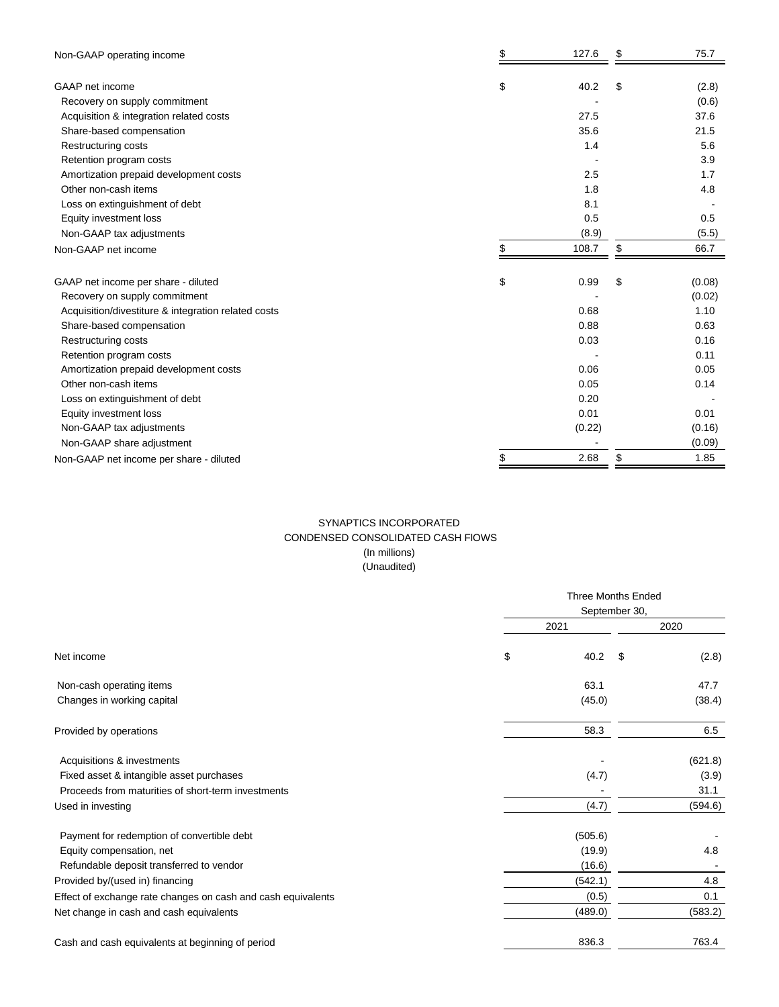| Non-GAAP operating income                           | \$<br>127.6 | \$<br>75.7   |
|-----------------------------------------------------|-------------|--------------|
| GAAP net income                                     | \$<br>40.2  | \$<br>(2.8)  |
| Recovery on supply commitment                       |             | (0.6)        |
| Acquisition & integration related costs             | 27.5        | 37.6         |
| Share-based compensation                            | 35.6        | 21.5         |
| Restructuring costs                                 | 1.4         | 5.6          |
| Retention program costs                             |             | 3.9          |
| Amortization prepaid development costs              | 2.5         | 1.7          |
| Other non-cash items                                | 1.8         | 4.8          |
| Loss on extinguishment of debt                      | 8.1         |              |
| Equity investment loss                              | 0.5         | 0.5          |
| Non-GAAP tax adjustments                            | (8.9)       | (5.5)        |
| Non-GAAP net income                                 | \$<br>108.7 | \$<br>66.7   |
| GAAP net income per share - diluted                 | \$<br>0.99  | \$<br>(0.08) |
| Recovery on supply commitment                       |             | (0.02)       |
| Acquisition/divestiture & integration related costs | 0.68        | 1.10         |
| Share-based compensation                            | 0.88        | 0.63         |
| Restructuring costs                                 | 0.03        | 0.16         |
| Retention program costs                             |             | 0.11         |
| Amortization prepaid development costs              | 0.06        | 0.05         |
| Other non-cash items                                | 0.05        | 0.14         |
| Loss on extinguishment of debt                      | 0.20        |              |
| Equity investment loss                              | 0.01        | 0.01         |
| Non-GAAP tax adjustments                            | (0.22)      | (0.16)       |
| Non-GAAP share adjustment                           |             | (0.09)       |
| Non-GAAP net income per share - diluted             | \$<br>2.68  | \$<br>1.85   |

# SYNAPTICS INCORPORATED CONDENSED CONSOLIDATED CASH FlOWS (In millions) (Unaudited)

|                                                              | <b>Three Months Ended</b> |               |         |  |  |
|--------------------------------------------------------------|---------------------------|---------------|---------|--|--|
|                                                              |                           | September 30, |         |  |  |
|                                                              | 2021                      |               | 2020    |  |  |
| Net income                                                   | \$<br>40.2                | \$            | (2.8)   |  |  |
| Non-cash operating items                                     | 63.1                      |               | 47.7    |  |  |
| Changes in working capital                                   | (45.0)                    |               | (38.4)  |  |  |
| Provided by operations                                       | 58.3                      |               | 6.5     |  |  |
| Acquisitions & investments                                   |                           |               | (621.8) |  |  |
| Fixed asset & intangible asset purchases                     | (4.7)                     |               | (3.9)   |  |  |
| Proceeds from maturities of short-term investments           |                           |               | 31.1    |  |  |
| Used in investing                                            | (4.7)                     |               | (594.6) |  |  |
| Payment for redemption of convertible debt                   | (505.6)                   |               |         |  |  |
| Equity compensation, net                                     | (19.9)                    |               | 4.8     |  |  |
| Refundable deposit transferred to vendor                     | (16.6)                    |               |         |  |  |
| Provided by/(used in) financing                              | (542.1)                   |               | 4.8     |  |  |
| Effect of exchange rate changes on cash and cash equivalents | (0.5)                     |               | 0.1     |  |  |
| Net change in cash and cash equivalents                      | (489.0)                   |               | (583.2) |  |  |
| Cash and cash equivalents at beginning of period             | 836.3                     |               | 763.4   |  |  |
|                                                              |                           |               |         |  |  |